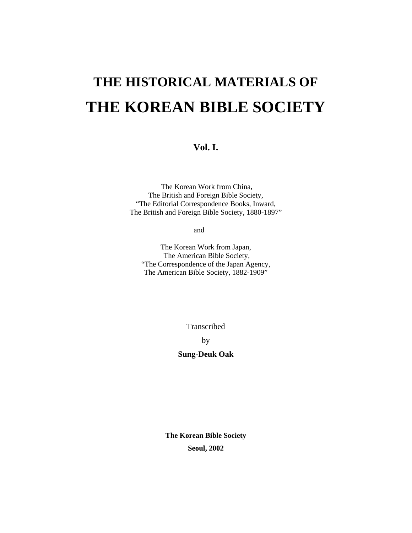# **THE HISTORICAL MATERIALS OF THE KOREAN BIBLE SOCIETY**

**Vol. I.** 

The Korean Work from China, The British and Foreign Bible Society, "The Editorial Correspondence Books, Inward, The British and Foreign Bible Society, 1880-1897"

and

The Korean Work from Japan, The American Bible Society, "The Correspondence of the Japan Agency, The American Bible Society, 1882-1909"

Transcribed

by

**Sung-Deuk Oak** 

**The Korean Bible Society Seoul, 2002**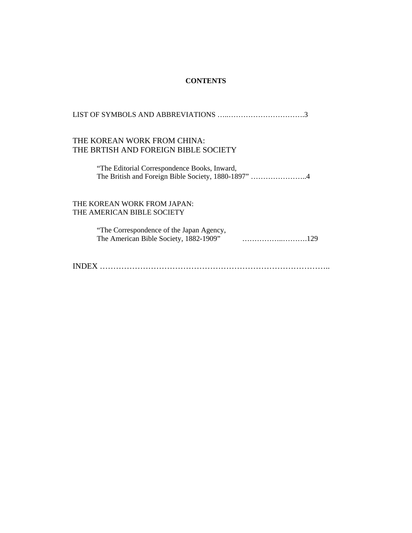## **CONTENTS**

| THE KOREAN WORK FROM CHINA:                  |
|----------------------------------------------|
| THE BRTISH AND FOREIGN BIBLE SOCIETY         |
| "The Editorial Correspondence Books, Inward, |
|                                              |
| THE KOREAN WORK FROM JAPAN:                  |
| THE AMERICAN BIBLE SOCIETY                   |
|                                              |
| "The Correspondence of the Japan Agency,     |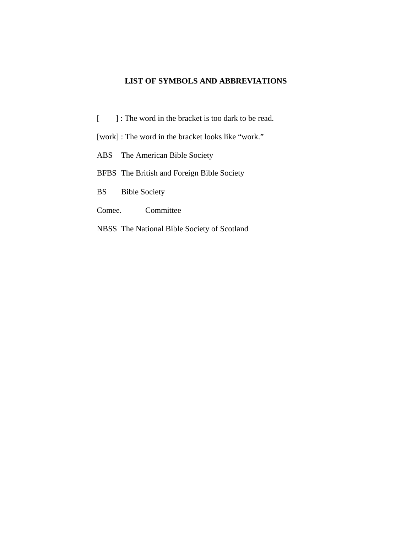# **LIST OF SYMBOLS AND ABBREVIATIONS**

[ ] : The word in the bracket is too dark to be read.

[work] : The word in the bracket looks like "work."

ABS The American Bible Society

BFBS The British and Foreign Bible Society

BS Bible Society

Comee. Committee

NBSS The National Bible Society of Scotland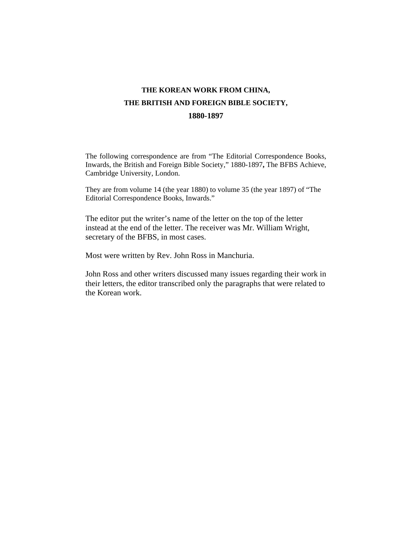# **THE KOREAN WORK FROM CHINA, THE BRITISH AND FOREIGN BIBLE SOCIETY, 1880-1897**

The following correspondence are from "The Editorial Correspondence Books, Inwards, the British and Foreign Bible Society," 1880-1897**,** The BFBS Achieve, Cambridge University, London.

They are from volume 14 (the year 1880) to volume 35 (the year 1897) of "The Editorial Correspondence Books, Inwards."

The editor put the writer's name of the letter on the top of the letter instead at the end of the letter. The receiver was Mr. William Wright, secretary of the BFBS, in most cases.

Most were written by Rev. John Ross in Manchuria.

John Ross and other writers discussed many issues regarding their work in their letters, the editor transcribed only the paragraphs that were related to the Korean work.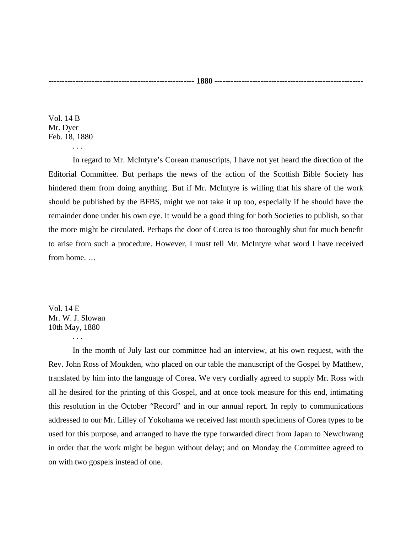Vol. 14 B Mr. Dyer Feb. 18, 1880

. . .

 In regard to Mr. McIntyre's Corean manuscripts, I have not yet heard the direction of the Editorial Committee. But perhaps the news of the action of the Scottish Bible Society has hindered them from doing anything. But if Mr. McIntyre is willing that his share of the work should be published by the BFBS, might we not take it up too, especially if he should have the remainder done under his own eye. It would be a good thing for both Societies to publish, so that the more might be circulated. Perhaps the door of Corea is too thoroughly shut for much benefit to arise from such a procedure. However, I must tell Mr. McIntyre what word I have received from home. …

Vol. 14 E Mr. W. J. Slowan 10th May, 1880

. . .

 In the month of July last our committee had an interview, at his own request, with the Rev. John Ross of Moukden, who placed on our table the manuscript of the Gospel by Matthew, translated by him into the language of Corea. We very cordially agreed to supply Mr. Ross with all he desired for the printing of this Gospel, and at once took measure for this end, intimating this resolution in the October "Record" and in our annual report. In reply to communications addressed to our Mr. Lilley of Yokohama we received last month specimens of Corea types to be used for this purpose, and arranged to have the type forwarded direct from Japan to Newchwang in order that the work might be begun without delay; and on Monday the Committee agreed to on with two gospels instead of one.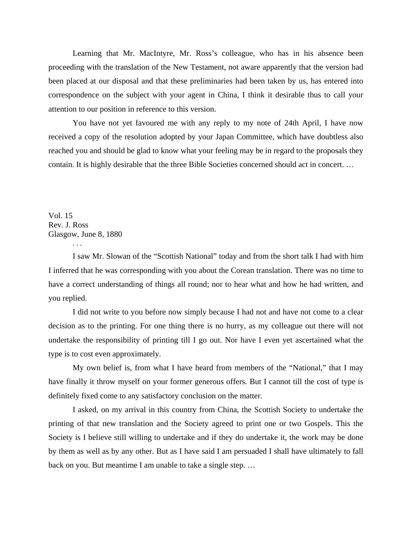Learning that Mr. MacIntyre, Mr. Ross's colleague, who has in his absence been proceeding with the translation of the New Testament, not aware apparently that the version had been placed at our disposal and that these preliminaries had been taken by us, has entered into correspondence on the subject with your agent in China, I think it desirable thus to call your attention to our position in reference to this version.

 You have not yet favoured me with any reply to my note of 24th April, I have now received a copy of the resolution adopted by your Japan Committee, which have doubtless also reached you and should be glad to know what your feeling may be in regard to the proposals they contain. It is highly desirable that the three Bible Societies concerned should act in concert. …

Vol. 15 Rev. J. Ross Glasgow, June 8, 1880

. . .

 I saw Mr. Slowan of the "Scottish National" today and from the short talk I had with him I inferred that he was corresponding with you about the Corean translation. There was no time to have a correct understanding of things all round; nor to hear what and how he had written, and you replied.

 I did not write to you before now simply because I had not and have not come to a clear decision as to the printing. For one thing there is no hurry, as my colleague out there will not undertake the responsibility of printing till I go out. Nor have I even yet ascertained what the type is to cost even approximately.

 My own belief is, from what I have heard from members of the "National," that I may have finally it throw myself on your former generous offers. But I cannot till the cost of type is definitely fixed come to any satisfactory conclusion on the matter.

 I asked, on my arrival in this country from China, the Scottish Society to undertake the printing of that new translation and the Society agreed to print one or two Gospels. This the Society is I believe still willing to undertake and if they do undertake it, the work may be done by them as well as by any other. But as I have said I am persuaded I shall have ultimately to fall back on you. But meantime I am unable to take a single step. …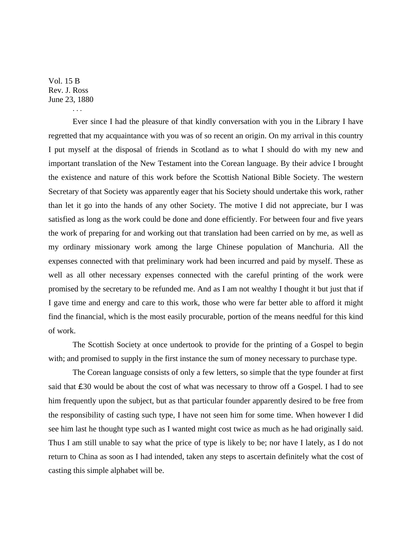Vol. 15 B Rev. J. Ross June 23, 1880

. . .

 Ever since I had the pleasure of that kindly conversation with you in the Library I have regretted that my acquaintance with you was of so recent an origin. On my arrival in this country I put myself at the disposal of friends in Scotland as to what I should do with my new and important translation of the New Testament into the Corean language. By their advice I brought the existence and nature of this work before the Scottish National Bible Society. The western Secretary of that Society was apparently eager that his Society should undertake this work, rather than let it go into the hands of any other Society. The motive I did not appreciate, bur I was satisfied as long as the work could be done and done efficiently. For between four and five years the work of preparing for and working out that translation had been carried on by me, as well as my ordinary missionary work among the large Chinese population of Manchuria. All the expenses connected with that preliminary work had been incurred and paid by myself. These as well as all other necessary expenses connected with the careful printing of the work were promised by the secretary to be refunded me. And as I am not wealthy I thought it but just that if I gave time and energy and care to this work, those who were far better able to afford it might find the financial, which is the most easily procurable, portion of the means needful for this kind of work.

 The Scottish Society at once undertook to provide for the printing of a Gospel to begin with; and promised to supply in the first instance the sum of money necessary to purchase type.

 The Corean language consists of only a few letters, so simple that the type founder at first said that £30 would be about the cost of what was necessary to throw off a Gospel. I had to see him frequently upon the subject, but as that particular founder apparently desired to be free from the responsibility of casting such type, I have not seen him for some time. When however I did see him last he thought type such as I wanted might cost twice as much as he had originally said. Thus I am still unable to say what the price of type is likely to be; nor have I lately, as I do not return to China as soon as I had intended, taken any steps to ascertain definitely what the cost of casting this simple alphabet will be.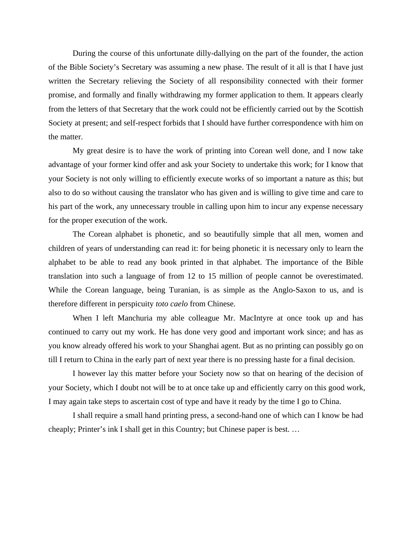During the course of this unfortunate dilly-dallying on the part of the founder, the action of the Bible Society's Secretary was assuming a new phase. The result of it all is that I have just written the Secretary relieving the Society of all responsibility connected with their former promise, and formally and finally withdrawing my former application to them. It appears clearly from the letters of that Secretary that the work could not be efficiently carried out by the Scottish Society at present; and self-respect forbids that I should have further correspondence with him on the matter.

 My great desire is to have the work of printing into Corean well done, and I now take advantage of your former kind offer and ask your Society to undertake this work; for I know that your Society is not only willing to efficiently execute works of so important a nature as this; but also to do so without causing the translator who has given and is willing to give time and care to his part of the work, any unnecessary trouble in calling upon him to incur any expense necessary for the proper execution of the work.

 The Corean alphabet is phonetic, and so beautifully simple that all men, women and children of years of understanding can read it: for being phonetic it is necessary only to learn the alphabet to be able to read any book printed in that alphabet. The importance of the Bible translation into such a language of from 12 to 15 million of people cannot be overestimated. While the Corean language, being Turanian, is as simple as the Anglo-Saxon to us, and is therefore different in perspicuity *toto caelo* from Chinese.

 When I left Manchuria my able colleague Mr. MacIntyre at once took up and has continued to carry out my work. He has done very good and important work since; and has as you know already offered his work to your Shanghai agent. But as no printing can possibly go on till I return to China in the early part of next year there is no pressing haste for a final decision.

 I however lay this matter before your Society now so that on hearing of the decision of your Society, which I doubt not will be to at once take up and efficiently carry on this good work, I may again take steps to ascertain cost of type and have it ready by the time I go to China.

 I shall require a small hand printing press, a second-hand one of which can I know be had cheaply; Printer's ink I shall get in this Country; but Chinese paper is best. …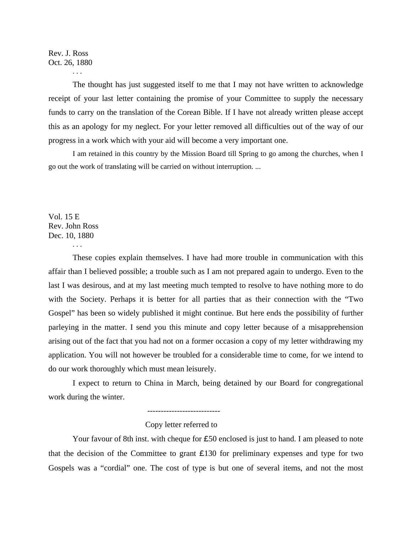# Rev. J. Ross Oct. 26, 1880

. . .

 The thought has just suggested itself to me that I may not have written to acknowledge receipt of your last letter containing the promise of your Committee to supply the necessary funds to carry on the translation of the Corean Bible. If I have not already written please accept this as an apology for my neglect. For your letter removed all difficulties out of the way of our progress in a work which with your aid will become a very important one.

I am retained in this country by the Mission Board till Spring to go among the churches, when I go out the work of translating will be carried on without interruption. ...

Vol. 15 E Rev. John Ross Dec. 10, 1880

. . .

 These copies explain themselves. I have had more trouble in communication with this affair than I believed possible; a trouble such as I am not prepared again to undergo. Even to the last I was desirous, and at my last meeting much tempted to resolve to have nothing more to do with the Society. Perhaps it is better for all parties that as their connection with the "Two Gospel" has been so widely published it might continue. But here ends the possibility of further parleying in the matter. I send you this minute and copy letter because of a misapprehension arising out of the fact that you had not on a former occasion a copy of my letter withdrawing my application. You will not however be troubled for a considerable time to come, for we intend to do our work thoroughly which must mean leisurely.

 I expect to return to China in March, being detained by our Board for congregational work during the winter.

---------------------------

#### Copy letter referred to

Your favour of 8th inst. with cheque for £50 enclosed is just to hand. I am pleased to note that the decision of the Committee to grant  $£130$  for preliminary expenses and type for two Gospels was a "cordial" one. The cost of type is but one of several items, and not the most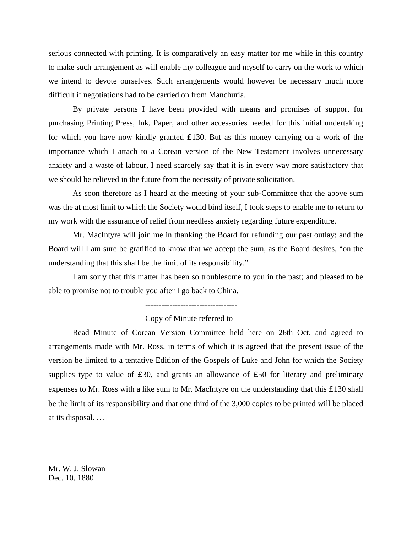serious connected with printing. It is comparatively an easy matter for me while in this country to make such arrangement as will enable my colleague and myself to carry on the work to which we intend to devote ourselves. Such arrangements would however be necessary much more difficult if negotiations had to be carried on from Manchuria.

 By private persons I have been provided with means and promises of support for purchasing Printing Press, Ink, Paper, and other accessories needed for this initial undertaking for which you have now kindly granted £130. But as this money carrying on a work of the importance which I attach to a Corean version of the New Testament involves unnecessary anxiety and a waste of labour, I need scarcely say that it is in every way more satisfactory that we should be relieved in the future from the necessity of private solicitation.

 As soon therefore as I heard at the meeting of your sub-Committee that the above sum was the at most limit to which the Society would bind itself, I took steps to enable me to return to my work with the assurance of relief from needless anxiety regarding future expenditure.

 Mr. MacIntyre will join me in thanking the Board for refunding our past outlay; and the Board will I am sure be gratified to know that we accept the sum, as the Board desires, "on the understanding that this shall be the limit of its responsibility."

 I am sorry that this matter has been so troublesome to you in the past; and pleased to be able to promise not to trouble you after I go back to China.

----------------------------------

Copy of Minute referred to

 Read Minute of Corean Version Committee held here on 26th Oct. and agreed to arrangements made with Mr. Ross, in terms of which it is agreed that the present issue of the version be limited to a tentative Edition of the Gospels of Luke and John for which the Society supplies type to value of  $\epsilon$ 30, and grants an allowance of  $\epsilon$ 50 for literary and preliminary expenses to Mr. Ross with a like sum to Mr. MacIntyre on the understanding that this £130 shall be the limit of its responsibility and that one third of the 3,000 copies to be printed will be placed at its disposal. …

Mr. W. J. Slowan Dec. 10, 1880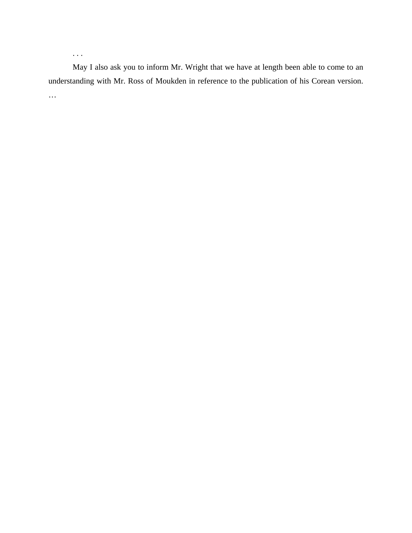May I also ask you to inform Mr. Wright that we have at length been able to come to an understanding with Mr. Ross of Moukden in reference to the publication of his Corean version. …

. . .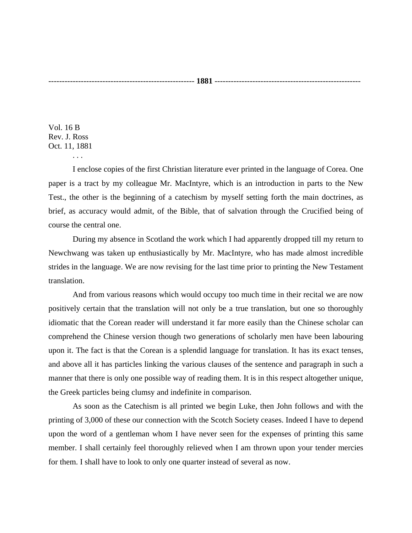Vol. 16 B Rev. J. Ross Oct. 11, 1881

. . .

 I enclose copies of the first Christian literature ever printed in the language of Corea. One paper is a tract by my colleague Mr. MacIntyre, which is an introduction in parts to the New Test., the other is the beginning of a catechism by myself setting forth the main doctrines, as brief, as accuracy would admit, of the Bible, that of salvation through the Crucified being of course the central one.

 During my absence in Scotland the work which I had apparently dropped till my return to Newchwang was taken up enthusiastically by Mr. MacIntyre, who has made almost incredible strides in the language. We are now revising for the last time prior to printing the New Testament translation.

 And from various reasons which would occupy too much time in their recital we are now positively certain that the translation will not only be a true translation, but one so thoroughly idiomatic that the Corean reader will understand it far more easily than the Chinese scholar can comprehend the Chinese version though two generations of scholarly men have been labouring upon it. The fact is that the Corean is a splendid language for translation. It has its exact tenses, and above all it has particles linking the various clauses of the sentence and paragraph in such a manner that there is only one possible way of reading them. It is in this respect altogether unique, the Greek particles being clumsy and indefinite in comparison.

 As soon as the Catechism is all printed we begin Luke, then John follows and with the printing of 3,000 of these our connection with the Scotch Society ceases. Indeed I have to depend upon the word of a gentleman whom I have never seen for the expenses of printing this same member. I shall certainly feel thoroughly relieved when I am thrown upon your tender mercies for them. I shall have to look to only one quarter instead of several as now.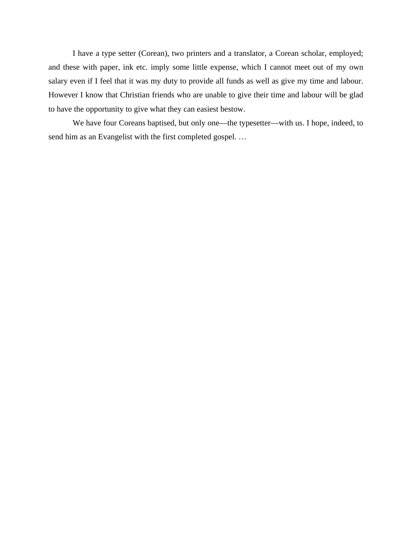I have a type setter (Corean), two printers and a translator, a Corean scholar, employed; and these with paper, ink etc. imply some little expense, which I cannot meet out of my own salary even if I feel that it was my duty to provide all funds as well as give my time and labour. However I know that Christian friends who are unable to give their time and labour will be glad to have the opportunity to give what they can easiest bestow.

 We have four Coreans baptised, but only one—the typesetter—with us. I hope, indeed, to send him as an Evangelist with the first completed gospel. …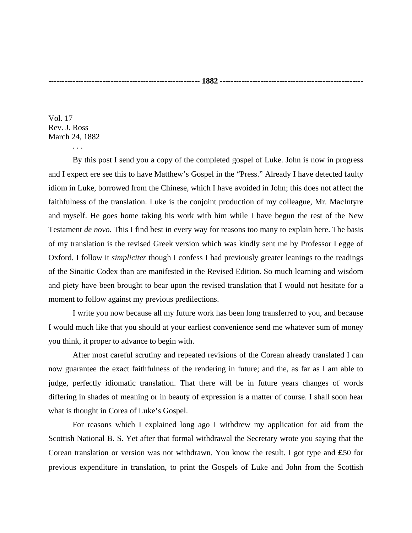Vol. 17 Rev. J. Ross March 24, 1882

. . .

 By this post I send you a copy of the completed gospel of Luke. John is now in progress and I expect ere see this to have Matthew's Gospel in the "Press." Already I have detected faulty idiom in Luke, borrowed from the Chinese, which I have avoided in John; this does not affect the faithfulness of the translation. Luke is the conjoint production of my colleague, Mr. MacIntyre and myself. He goes home taking his work with him while I have begun the rest of the New Testament *de novo*. This I find best in every way for reasons too many to explain here. The basis of my translation is the revised Greek version which was kindly sent me by Professor Legge of Oxford. I follow it *simpliciter* though I confess I had previously greater leanings to the readings of the Sinaitic Codex than are manifested in the Revised Edition. So much learning and wisdom and piety have been brought to bear upon the revised translation that I would not hesitate for a moment to follow against my previous predilections.

 I write you now because all my future work has been long transferred to you, and because I would much like that you should at your earliest convenience send me whatever sum of money you think, it proper to advance to begin with.

 After most careful scrutiny and repeated revisions of the Corean already translated I can now guarantee the exact faithfulness of the rendering in future; and the, as far as I am able to judge, perfectly idiomatic translation. That there will be in future years changes of words differing in shades of meaning or in beauty of expression is a matter of course. I shall soon hear what is thought in Corea of Luke's Gospel.

 For reasons which I explained long ago I withdrew my application for aid from the Scottish National B. S. Yet after that formal withdrawal the Secretary wrote you saying that the Corean translation or version was not withdrawn. You know the result. I got type and £50 for previous expenditure in translation, to print the Gospels of Luke and John from the Scottish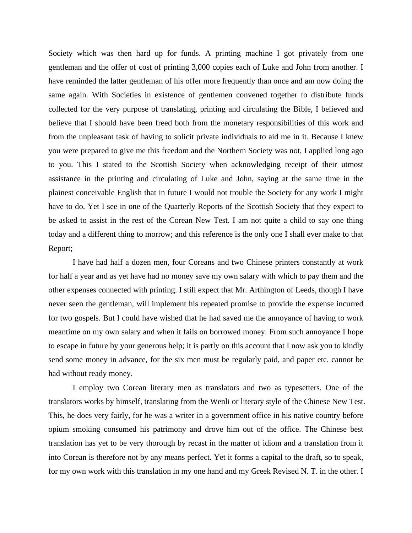Society which was then hard up for funds. A printing machine I got privately from one gentleman and the offer of cost of printing 3,000 copies each of Luke and John from another. I have reminded the latter gentleman of his offer more frequently than once and am now doing the same again. With Societies in existence of gentlemen convened together to distribute funds collected for the very purpose of translating, printing and circulating the Bible, I believed and believe that I should have been freed both from the monetary responsibilities of this work and from the unpleasant task of having to solicit private individuals to aid me in it. Because I knew you were prepared to give me this freedom and the Northern Society was not, I applied long ago to you. This I stated to the Scottish Society when acknowledging receipt of their utmost assistance in the printing and circulating of Luke and John, saying at the same time in the plainest conceivable English that in future I would not trouble the Society for any work I might have to do. Yet I see in one of the Quarterly Reports of the Scottish Society that they expect to be asked to assist in the rest of the Corean New Test. I am not quite a child to say one thing today and a different thing to morrow; and this reference is the only one I shall ever make to that Report;

 I have had half a dozen men, four Coreans and two Chinese printers constantly at work for half a year and as yet have had no money save my own salary with which to pay them and the other expenses connected with printing. I still expect that Mr. Arthington of Leeds, though I have never seen the gentleman, will implement his repeated promise to provide the expense incurred for two gospels. But I could have wished that he had saved me the annoyance of having to work meantime on my own salary and when it fails on borrowed money. From such annoyance I hope to escape in future by your generous help; it is partly on this account that I now ask you to kindly send some money in advance, for the six men must be regularly paid, and paper etc. cannot be had without ready money.

 I employ two Corean literary men as translators and two as typesetters. One of the translators works by himself, translating from the Wenli or literary style of the Chinese New Test. This, he does very fairly, for he was a writer in a government office in his native country before opium smoking consumed his patrimony and drove him out of the office. The Chinese best translation has yet to be very thorough by recast in the matter of idiom and a translation from it into Corean is therefore not by any means perfect. Yet it forms a capital to the draft, so to speak, for my own work with this translation in my one hand and my Greek Revised N. T. in the other. I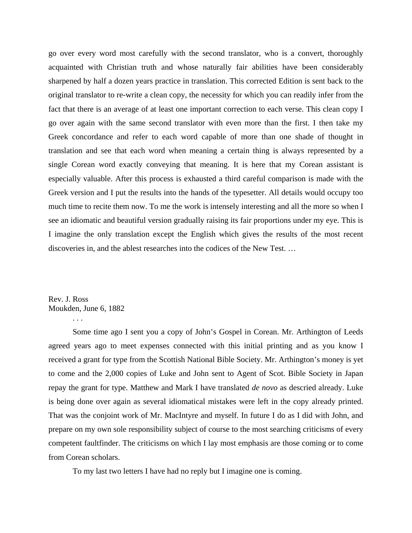go over every word most carefully with the second translator, who is a convert, thoroughly acquainted with Christian truth and whose naturally fair abilities have been considerably sharpened by half a dozen years practice in translation. This corrected Edition is sent back to the original translator to re-write a clean copy, the necessity for which you can readily infer from the fact that there is an average of at least one important correction to each verse. This clean copy I go over again with the same second translator with even more than the first. I then take my Greek concordance and refer to each word capable of more than one shade of thought in translation and see that each word when meaning a certain thing is always represented by a single Corean word exactly conveying that meaning. It is here that my Corean assistant is especially valuable. After this process is exhausted a third careful comparison is made with the Greek version and I put the results into the hands of the typesetter. All details would occupy too much time to recite them now. To me the work is intensely interesting and all the more so when I see an idiomatic and beautiful version gradually raising its fair proportions under my eye. This is I imagine the only translation except the English which gives the results of the most recent discoveries in, and the ablest researches into the codices of the New Test. …

Rev. J. Ross Moukden, June 6, 1882 . . .

 Some time ago I sent you a copy of John's Gospel in Corean. Mr. Arthington of Leeds agreed years ago to meet expenses connected with this initial printing and as you know I received a grant for type from the Scottish National Bible Society. Mr. Arthington's money is yet to come and the 2,000 copies of Luke and John sent to Agent of Scot. Bible Society in Japan repay the grant for type. Matthew and Mark I have translated *de novo* as descried already. Luke is being done over again as several idiomatical mistakes were left in the copy already printed. That was the conjoint work of Mr. MacIntyre and myself. In future I do as I did with John, and prepare on my own sole responsibility subject of course to the most searching criticisms of every competent faultfinder. The criticisms on which I lay most emphasis are those coming or to come from Corean scholars.

To my last two letters I have had no reply but I imagine one is coming.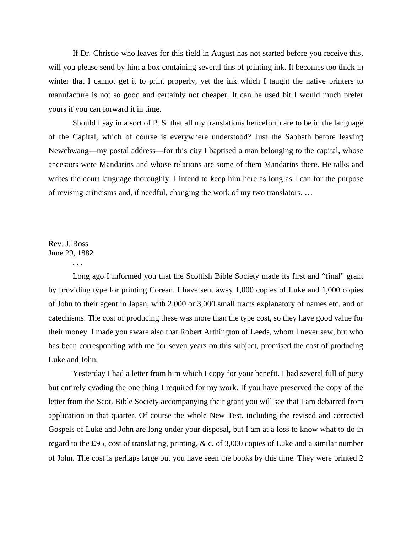If Dr. Christie who leaves for this field in August has not started before you receive this, will you please send by him a box containing several tins of printing ink. It becomes too thick in winter that I cannot get it to print properly, yet the ink which I taught the native printers to manufacture is not so good and certainly not cheaper. It can be used bit I would much prefer yours if you can forward it in time.

 Should I say in a sort of P. S. that all my translations henceforth are to be in the language of the Capital, which of course is everywhere understood? Just the Sabbath before leaving Newchwang—my postal address—for this city I baptised a man belonging to the capital, whose ancestors were Mandarins and whose relations are some of them Mandarins there. He talks and writes the court language thoroughly. I intend to keep him here as long as I can for the purpose of revising criticisms and, if needful, changing the work of my two translators. …

# Rev. J. Ross June 29, 1882

. . .

Long ago I informed you that the Scottish Bible Society made its first and "final" grant by providing type for printing Corean. I have sent away 1,000 copies of Luke and 1,000 copies of John to their agent in Japan, with 2,000 or 3,000 small tracts explanatory of names etc. and of catechisms. The cost of producing these was more than the type cost, so they have good value for their money. I made you aware also that Robert Arthington of Leeds, whom I never saw, but who has been corresponding with me for seven years on this subject, promised the cost of producing Luke and John.

 Yesterday I had a letter from him which I copy for your benefit. I had several full of piety but entirely evading the one thing I required for my work. If you have preserved the copy of the letter from the Scot. Bible Society accompanying their grant you will see that I am debarred from application in that quarter. Of course the whole New Test. including the revised and corrected Gospels of Luke and John are long under your disposal, but I am at a loss to know what to do in regard to the £95, cost of translating, printing, & c. of 3,000 copies of Luke and a similar number of John. The cost is perhaps large but you have seen the books by this time. They were printed 2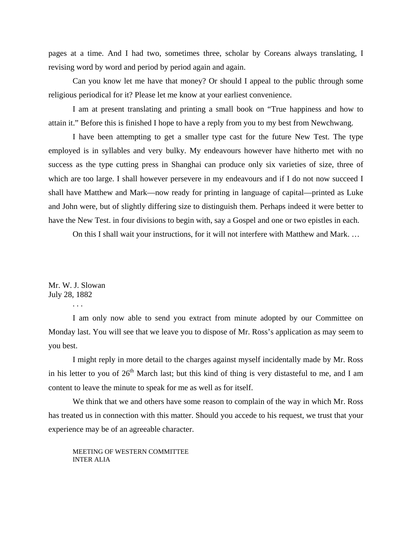pages at a time. And I had two, sometimes three, scholar by Coreans always translating, I revising word by word and period by period again and again.

 Can you know let me have that money? Or should I appeal to the public through some religious periodical for it? Please let me know at your earliest convenience.

 I am at present translating and printing a small book on "True happiness and how to attain it." Before this is finished I hope to have a reply from you to my best from Newchwang.

 I have been attempting to get a smaller type cast for the future New Test. The type employed is in syllables and very bulky. My endeavours however have hitherto met with no success as the type cutting press in Shanghai can produce only six varieties of size, three of which are too large. I shall however persevere in my endeavours and if I do not now succeed I shall have Matthew and Mark—now ready for printing in language of capital—printed as Luke and John were, but of slightly differing size to distinguish them. Perhaps indeed it were better to have the New Test. in four divisions to begin with, say a Gospel and one or two epistles in each.

On this I shall wait your instructions, for it will not interfere with Matthew and Mark. …

Mr. W. J. Slowan July 28, 1882

. . .

 I am only now able to send you extract from minute adopted by our Committee on Monday last. You will see that we leave you to dispose of Mr. Ross's application as may seem to you best.

 I might reply in more detail to the charges against myself incidentally made by Mr. Ross in his letter to you of  $26<sup>th</sup>$  March last; but this kind of thing is very distasteful to me, and I am content to leave the minute to speak for me as well as for itself.

 We think that we and others have some reason to complain of the way in which Mr. Ross has treated us in connection with this matter. Should you accede to his request, we trust that your experience may be of an agreeable character.

 MEETING OF WESTERN COMMITTEE INTER ALIA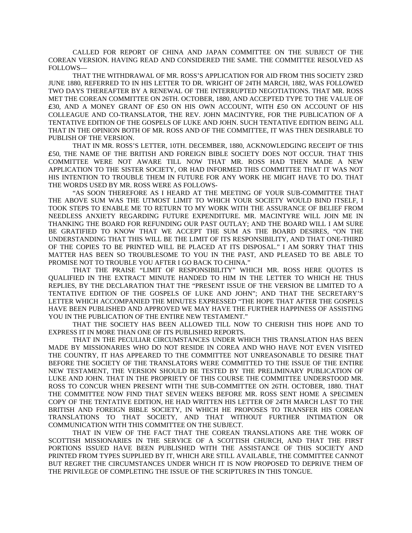CALLED FOR REPORT OF CHINA AND JAPAN COMMITTEE ON THE SUBJECT OF THE COREAN VERSION. HAVING READ AND CONSIDERED THE SAME. THE COMMITTEE RESOLVED AS FOLLOWS—

THAT THE WITHDRAWAL OF MR. ROSS'S APPLICATION FOR AID FROM THIS SOCIETY 23RD JUNE 1880, REFERRED TO IN HIS LETTER TO DR. WRIGHT OF 24TH MARCH, 1882, WAS FOLLOWED TWO DAYS THEREAFTER BY A RENEWAL OF THE INTERRUPTED NEGOTIATIONS. THAT MR. ROSS MET THE COREAN COMMITTEE ON 26TH. OCTOBER, 1880, AND ACCEPTED TYPE TO THE VALUE OF £30, AND A MONEY GRANT OF £50 ON HIS OWN ACCOUNT, WITH £50 ON ACCOUNT OF HIS COLLEAGUE AND CO-TRANSLATOR, THE REV. JOHN MACINTYRE, FOR THE PUBLICATION OF A TENTATIVE EDITION OF THE GOSPELS OF LUKE AND JOHN. SUCH TENTATIVE EDITION BEING ALL THAT IN THE OPINION BOTH OF MR. ROSS AND OF THE COMMITTEE, IT WAS THEN DESIRABLE TO PUBLISH OF THE VERSION.

 THAT IN MR. ROSS'S LETTER, 10TH. DECEMBER, 1880, ACKNOWLEDGING RECEIPT OF THIS £50, THE NAME OF THE BRITISH AND FOREIGN BIBLE SOCIETY DOES NOT OCCUR. THAT THIS COMMITTEE WERE NOT AWARE TILL NOW THAT MR. ROSS HAD THEN MADE A NEW APPLICATION TO THE SISTER SOCIETY, OR HAD INFORMED THIS COMMITTEE THAT IT WAS NOT HIS INTENTION TO TROUBLE THEM IN FUTURE FOR ANY WORK HE MIGHT HAVE TO DO. THAT THE WORDS USED BY MR. ROSS WERE AS FOLLOWS-

 "AS SOON THEREFORE AS I HEARD AT THE MEETING OF YOUR SUB-COMMITTEE THAT THE ABOVE SUM WAS THE UTMOST LIMIT TO WHICH YOUR SOCIETY WOULD BIND ITSELF, I TOOK STEPS TO ENABLE ME TO RETURN TO MY WORK WITH THE ASSURANCE OF BELIEF FROM NEEDLESS ANXIETY REGARDING FUTURE EXPENDITURE. MR. MACINTYRE WILL JOIN ME IN THANKING THE BOARD FOR REFUNDING OUR PAST OUTLAY; AND THE BOARD WILL I AM SURE BE GRATIFIED TO KNOW THAT WE ACCEPT THE SUM AS THE BOARD DESIRES, "ON THE UNDERSTANDING THAT THIS WILL BE THE LIMIT OF ITS RESPONSIBILITY, AND THAT ONE-THIRD OF THE COPIES TO BE PRINTED WILL BE PLACED AT ITS DISPOSAL." I AM SORRY THAT THIS MATTER HAS BEEN SO TROUBLESOME TO YOU IN THE PAST, AND PLEASED TO BE ABLE TO PROMISE NOT TO TROUBLE YOU AFTER I GO BACK TO CHINA."

 THAT THE PRAISE "LIMIT OF RESPONSIBILITY" WHICH MR. ROSS HERE QUOTES IS QUALIFIED IN THE EXTRACT MINUTE HANDED TO HIM IN THE LETTER TO WHICH HE THUS REPLIES, BY THE DECLARATION THAT THE "PRESENT ISSUE OF THE VERSION BE LIMITED TO A TENTATIVE EDITION OF THE GOSPELS OF LUKE AND JOHN"; AND THAT THE SECRETARY'S LETTER WHICH ACCOMPANIED THE MINUTES EXPRESSED "THE HOPE THAT AFTER THE GOSPELS HAVE BEEN PUBLISHED AND APPROVED WE MAY HAVE THE FURTHER HAPPINESS OF ASSISTING YOU IN THE PUBLICATION OF THE ENTIRE NEW TESTAMENT."

 THAT THE SOCIETY HAS BEEN ALLOWED TILL NOW TO CHERISH THIS HOPE AND TO EXPRESS IT IN MORE THAN ONE OF ITS PUBLISHED REPORTS.

 THAT IN THE PECULIAR CIRCUMSTANCES UNDER WHICH THIS TRANSLATION HAS BEEN MADE BY MISSIONARIES WHO DO NOT RESIDE IN COREA AND WHO HAVE NOT EVEN VISITED THE COUNTRY, IT HAS APPEARED TO THE COMMITTEE NOT UNREASONABLE TO DESIRE THAT BEFORE THE SOCIETY OF THE TRANSLATORS WERE COMMITTED TO THE ISSUE OF THE ENTIRE NEW TESTAMENT, THE VERSION SHOULD BE TESTED BY THE PRELIMINARY PUBLICATION OF LUKE AND JOHN. THAT IN THE PROPRIETY OF THIS COURSE THE COMMITTEE UNDERSTOOD MR. ROSS TO CONCUR WHEN PRESENT WITH THE SUB-COMMITTEE ON 26TH. OCTOBER, 1880. THAT THE COMMITTEE NOW FIND THAT SEVEN WEEKS BEFORE MR. ROSS SENT HOME A SPECIMEN COPY OF THE TENTATIVE EDITION, HE HAD WRITTEN HIS LETTER OF 24TH MARCH LAST TO THE BRITISH AND FOREIGN BIBLE SOCIETY, IN WHICH HE PROPOSES TO TRANSFER HIS COREAN TRANSLATIONS TO THAT SOCIETY, AND THAT WITHOUT FURTHER INTIMATION OR COMMUNICATION WITH THIS COMMITTEE ON THE SUBJECT.

 THAT IN VIEW OF THE FACT THAT THE COREAN TRANSLATIONS ARE THE WORK OF SCOTTISH MISSIONARIES IN THE SERVICE OF A SCOTTISH CHURCH, AND THAT THE FIRST PORTIONS ISSUED HAVE BEEN PUBLISHED WITH THE ASSISTANCE OF THIS SOCIETY AND PRINTED FROM TYPES SUPPLIED BY IT, WHICH ARE STILL AVAILABLE, THE COMMITTEE CANNOT BUT REGRET THE CIRCUMSTANCES UNDER WHICH IT IS NOW PROPOSED TO DEPRIVE THEM OF THE PRIVILEGE OF COMPLETING THE ISSUE OF THE SCRIPTURES IN THIS TONGUE.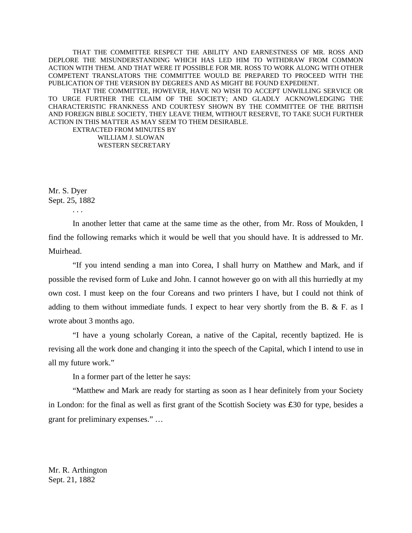THAT THE COMMITTEE RESPECT THE ABILITY AND EARNESTNESS OF MR. ROSS AND DEPLORE THE MISUNDERSTANDING WHICH HAS LED HIM TO WITHDRAW FROM COMMON ACTION WITH THEM. AND THAT WERE IT POSSIBLE FOR MR. ROSS TO WORK ALONG WITH OTHER COMPETENT TRANSLATORS THE COMMITTEE WOULD BE PREPARED TO PROCEED WITH THE PUBLICATION OF THE VERSION BY DEGREES AND AS MIGHT BE FOUND EXPEDIENT.

 THAT THE COMMITTEE, HOWEVER, HAVE NO WISH TO ACCEPT UNWILLING SERVICE OR TO URGE FURTHER THE CLAIM OF THE SOCIETY; AND GLADLY ACKNOWLEDGING THE CHARACTERISTIC FRANKNESS AND COURTESY SHOWN BY THE COMMITTEE OF THE BRITISH AND FOREIGN BIBLE SOCIETY, THEY LEAVE THEM, WITHOUT RESERVE, TO TAKE SUCH FURTHER ACTION IN THIS MATTER AS MAY SEEM TO THEM DESIRABLE.

 EXTRACTED FROM MINUTES BY WILLIAM J. SLOWAN WESTERN SECRETARY

Mr. S. Dyer Sept. 25, 1882

. . .

 In another letter that came at the same time as the other, from Mr. Ross of Moukden, I find the following remarks which it would be well that you should have. It is addressed to Mr. Muirhead.

 "If you intend sending a man into Corea, I shall hurry on Matthew and Mark, and if possible the revised form of Luke and John. I cannot however go on with all this hurriedly at my own cost. I must keep on the four Coreans and two printers I have, but I could not think of adding to them without immediate funds. I expect to hear very shortly from the B. & F. as I wrote about 3 months ago.

 "I have a young scholarly Corean, a native of the Capital, recently baptized. He is revising all the work done and changing it into the speech of the Capital, which I intend to use in all my future work."

In a former part of the letter he says:

 "Matthew and Mark are ready for starting as soon as I hear definitely from your Society in London: for the final as well as first grant of the Scottish Society was £30 for type, besides a grant for preliminary expenses." …

Mr. R. Arthington Sept. 21, 1882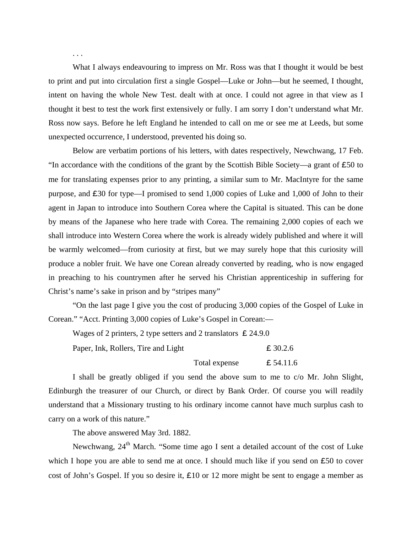What I always endeavouring to impress on Mr. Ross was that I thought it would be best to print and put into circulation first a single Gospel—Luke or John—but he seemed, I thought, intent on having the whole New Test. dealt with at once. I could not agree in that view as I thought it best to test the work first extensively or fully. I am sorry I don't understand what Mr. Ross now says. Before he left England he intended to call on me or see me at Leeds, but some unexpected occurrence, I understood, prevented his doing so.

 Below are verbatim portions of his letters, with dates respectively, Newchwang, 17 Feb. "In accordance with the conditions of the grant by the Scottish Bible Society—a grant of  $\epsilon$ 50 to me for translating expenses prior to any printing, a similar sum to Mr. MacIntyre for the same purpose, and £30 for type—I promised to send 1,000 copies of Luke and 1,000 of John to their agent in Japan to introduce into Southern Corea where the Capital is situated. This can be done by means of the Japanese who here trade with Corea. The remaining 2,000 copies of each we shall introduce into Western Corea where the work is already widely published and where it will be warmly welcomed—from curiosity at first, but we may surely hope that this curiosity will produce a nobler fruit. We have one Corean already converted by reading, who is now engaged in preaching to his countrymen after he served his Christian apprenticeship in suffering for Christ's name's sake in prison and by "stripes many"

 "On the last page I give you the cost of producing 3,000 copies of the Gospel of Luke in Corean." "Acct. Printing 3,000 copies of Luke's Gospel in Corean:—

Wages of 2 printers, 2 type setters and 2 translators  $\epsilon$  24.9.0 Paper, Ink, Rollers, Tire and Light  $\epsilon$  30.2.6

Total expense  $\qquad \qquad \text{\pounds} 54.11.6$ 

I shall be greatly obliged if you send the above sum to me to c/o Mr. John Slight, Edinburgh the treasurer of our Church, or direct by Bank Order. Of course you will readily understand that a Missionary trusting to his ordinary income cannot have much surplus cash to carry on a work of this nature."

The above answered May 3rd. 1882.

Newchwang, 24<sup>th</sup> March. "Some time ago I sent a detailed account of the cost of Luke which I hope you are able to send me at once. I should much like if you send on  $£50$  to cover cost of John's Gospel. If you so desire it, £10 or 12 more might be sent to engage a member as

. . .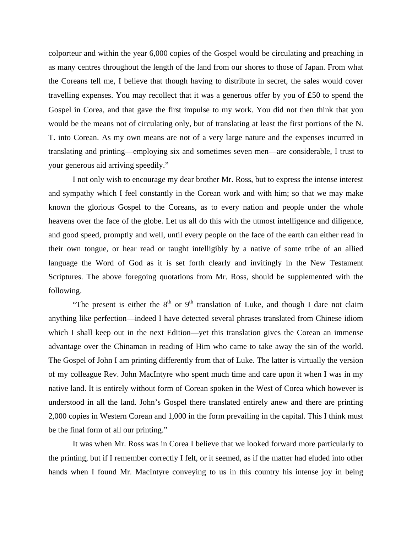colporteur and within the year 6,000 copies of the Gospel would be circulating and preaching in as many centres throughout the length of the land from our shores to those of Japan. From what the Coreans tell me, I believe that though having to distribute in secret, the sales would cover travelling expenses. You may recollect that it was a generous offer by you of £50 to spend the Gospel in Corea, and that gave the first impulse to my work. You did not then think that you would be the means not of circulating only, but of translating at least the first portions of the N. T. into Corean. As my own means are not of a very large nature and the expenses incurred in translating and printing—employing six and sometimes seven men—are considerable, I trust to your generous aid arriving speedily."

 I not only wish to encourage my dear brother Mr. Ross, but to express the intense interest and sympathy which I feel constantly in the Corean work and with him; so that we may make known the glorious Gospel to the Coreans, as to every nation and people under the whole heavens over the face of the globe. Let us all do this with the utmost intelligence and diligence, and good speed, promptly and well, until every people on the face of the earth can either read in their own tongue, or hear read or taught intelligibly by a native of some tribe of an allied language the Word of God as it is set forth clearly and invitingly in the New Testament Scriptures. The above foregoing quotations from Mr. Ross, should be supplemented with the following.

"The present is either the  $8<sup>th</sup>$  or  $9<sup>th</sup>$  translation of Luke, and though I dare not claim anything like perfection—indeed I have detected several phrases translated from Chinese idiom which I shall keep out in the next Edition—yet this translation gives the Corean an immense advantage over the Chinaman in reading of Him who came to take away the sin of the world. The Gospel of John I am printing differently from that of Luke. The latter is virtually the version of my colleague Rev. John MacIntyre who spent much time and care upon it when I was in my native land. It is entirely without form of Corean spoken in the West of Corea which however is understood in all the land. John's Gospel there translated entirely anew and there are printing 2,000 copies in Western Corean and 1,000 in the form prevailing in the capital. This I think must be the final form of all our printing."

 It was when Mr. Ross was in Corea I believe that we looked forward more particularly to the printing, but if I remember correctly I felt, or it seemed, as if the matter had eluded into other hands when I found Mr. MacIntyre conveying to us in this country his intense joy in being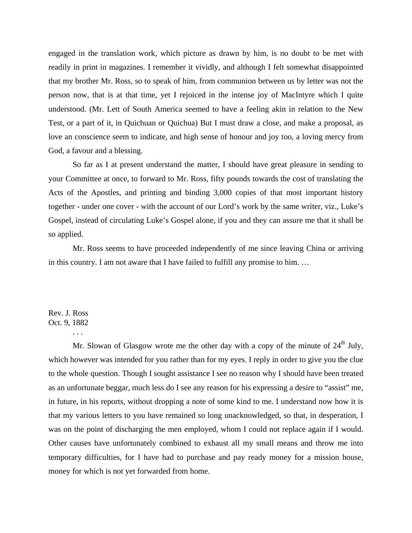engaged in the translation work, which picture as drawn by him, is no doubt to be met with readily in print in magazines. I remember it vividly, and although I felt somewhat disappointed that my brother Mr. Ross, so to speak of him, from communion between us by letter was not the person now, that is at that time, yet I rejoiced in the intense joy of MacIntyre which I quite understood. (Mr. Lett of South America seemed to have a feeling akin in relation to the New Test, or a part of it, in Quichuan or Quichua) But I must draw a close, and make a proposal, as love an conscience seem to indicate, and high sense of honour and joy too, a loving mercy from God, a favour and a blessing.

 So far as I at present understand the matter, I should have great pleasure in sending to your Committee at once, to forward to Mr. Ross, fifty pounds towards the cost of translating the Acts of the Apostles, and printing and binding 3,000 copies of that most important history together - under one cover - with the account of our Lord's work by the same writer, viz., Luke's Gospel, instead of circulating Luke's Gospel alone, if you and they can assure me that it shall be so applied.

 Mr. Ross seems to have proceeded independently of me since leaving China or arriving in this country. I am not aware that I have failed to fulfill any promise to him. …

#### Rev. J. Ross Oct. 9, 1882

. . .

Mr. Slowan of Glasgow wrote me the other day with a copy of the minute of  $24<sup>th</sup>$  July, which however was intended for you rather than for my eyes. I reply in order to give you the clue to the whole question. Though I sought assistance I see no reason why I should have been treated as an unfortunate beggar, much less do I see any reason for his expressing a desire to "assist" me, in future, in his reports, without dropping a note of some kind to me. I understand now how it is that my various letters to you have remained so long unacknowledged, so that, in desperation, I was on the point of discharging the men employed, whom I could not replace again if I would. Other causes have unfortunately combined to exhaust all my small means and throw me into temporary difficulties, for I have had to purchase and pay ready money for a mission house, money for which is not yet forwarded from home.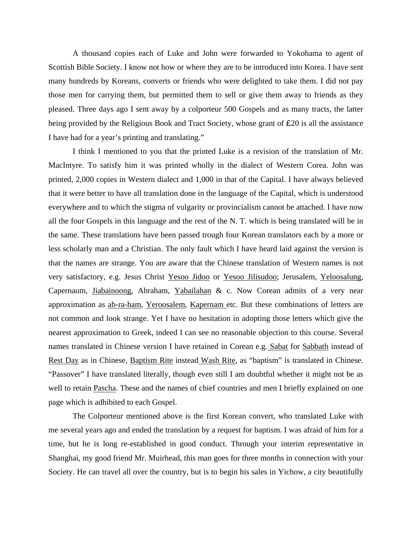A thousand copies each of Luke and John were forwarded to Yokohama to agent of Scottish Bible Society. I know not how or where they are to be introduced into Korea. I have sent many hundreds by Koreans, converts or friends who were delighted to take them. I did not pay those men for carrying them, but permitted them to sell or give them away to friends as they pleased. Three days ago I sent away by a colporteur 500 Gospels and as many tracts, the latter being provided by the Religious Book and Tract Society, whose grant of £20 is all the assistance I have had for a year's printing and translating."

 I think I mentioned to you that the printed Luke is a revision of the translation of Mr. MacIntyre. To satisfy him it was printed wholly in the dialect of Western Corea. John was printed, 2,000 copies in Western dialect and 1,000 in that of the Capital. I have always believed that it were better to have all translation done in the language of the Capital, which is understood everywhere and to which the stigma of vulgarity or provincialism cannot be attached. I have now all the four Gospels in this language and the rest of the N. T. which is being translated will be in the same. These translations have been passed trough four Korean translators each by a more or less scholarly man and a Christian. The only fault which I have heard laid against the version is that the names are strange. You are aware that the Chinese translation of Western names is not very satisfactory, e.g. Jesus Christ Yesoo Jidoo or Yesoo Jilisudoo; Jerusalem, Yeloosalung, Capernaum, Jiabainoong, Abraham, Yabailahan & c. Now Corean admits of a very near approximation as ab-ra-ham, Yeroosalem, Kapernam etc. But these combinations of letters are not common and look strange. Yet I have no hesitation in adopting those letters which give the nearest approximation to Greek, indeed I can see no reasonable objection to this course. Several names translated in Chinese version I have retained in Corean e.g. Sabat for Sabbath instead of Rest Day as in Chinese, Baptism Rite instead Wash Rite, as "baptism" is translated in Chinese. "Passover" I have translated literally, though even still I am doubtful whether it might not be as well to retain Pascha. These and the names of chief countries and men I briefly explained on one page which is adhibited to each Gospel.

 The Colporteur mentioned above is the first Korean convert, who translated Luke with me several years ago and ended the translation by a request for baptism. I was afraid of him for a time, but he is long re-established in good conduct. Through your interim representative in Shanghai, my good friend Mr. Muirhead, this man goes for three months in connection with your Society. He can travel all over the country, but is to begin his sales in Yichow, a city beautifully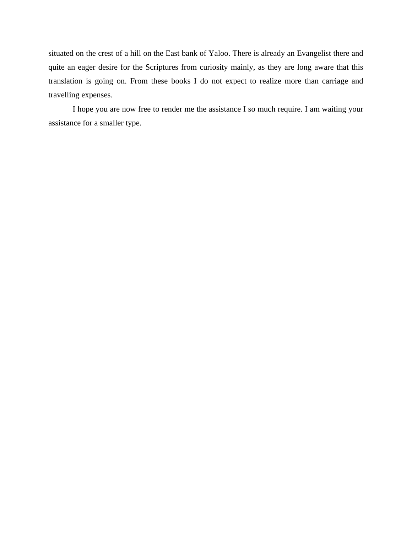situated on the crest of a hill on the East bank of Yaloo. There is already an Evangelist there and quite an eager desire for the Scriptures from curiosity mainly, as they are long aware that this translation is going on. From these books I do not expect to realize more than carriage and travelling expenses.

 I hope you are now free to render me the assistance I so much require. I am waiting your assistance for a smaller type.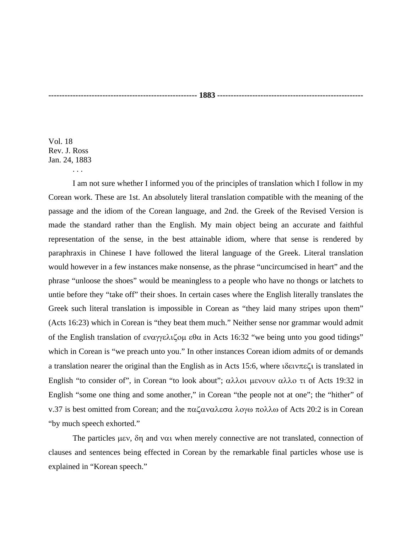Vol. 18 Rev. J. Ross Jan. 24, 1883

. . .

 I am not sure whether I informed you of the principles of translation which I follow in my Corean work. These are 1st. An absolutely literal translation compatible with the meaning of the passage and the idiom of the Corean language, and 2nd. the Greek of the Revised Version is made the standard rather than the English. My main object being an accurate and faithful representation of the sense, in the best attainable idiom, where that sense is rendered by paraphraxis in Chinese I have followed the literal language of the Greek. Literal translation would however in a few instances make nonsense, as the phrase "uncircumcised in heart" and the phrase "unloose the shoes" would be meaningless to a people who have no thongs or latchets to untie before they "take off" their shoes. In certain cases where the English literally translates the Greek such literal translation is impossible in Corean as "they laid many stripes upon them" (Acts 16:23) which in Corean is "they beat them much." Neither sense nor grammar would admit of the English translation of εναγγελιζομ εθα in Acts 16:32 "we being unto you good tidings" which in Corean is "we preach unto you." In other instances Corean idiom admits of or demands a translation nearer the original than the English as in Acts 15:6, where ιδεινπεζι is translated in English "to consider of", in Corean "to look about"; αλλοι μενουν αλλο τι of Acts 19:32 in English "some one thing and some another," in Corean "the people not at one"; the "hither" of v.37 is best omitted from Corean; and the παζαναλεσα λογω πολλω of Acts 20:2 is in Corean "by much speech exhorted."

 The particles μεν, δη and ναι when merely connective are not translated, connection of clauses and sentences being effected in Corean by the remarkable final particles whose use is explained in "Korean speech."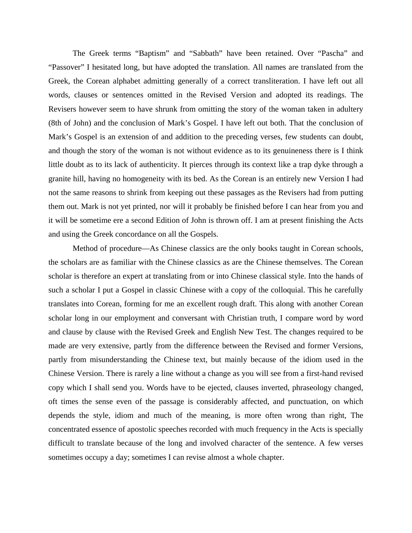The Greek terms "Baptism" and "Sabbath" have been retained. Over "Pascha" and "Passover" I hesitated long, but have adopted the translation. All names are translated from the Greek, the Corean alphabet admitting generally of a correct transliteration. I have left out all words, clauses or sentences omitted in the Revised Version and adopted its readings. The Revisers however seem to have shrunk from omitting the story of the woman taken in adultery (8th of John) and the conclusion of Mark's Gospel. I have left out both. That the conclusion of Mark's Gospel is an extension of and addition to the preceding verses, few students can doubt, and though the story of the woman is not without evidence as to its genuineness there is I think little doubt as to its lack of authenticity. It pierces through its context like a trap dyke through a granite hill, having no homogeneity with its bed. As the Corean is an entirely new Version I had not the same reasons to shrink from keeping out these passages as the Revisers had from putting them out. Mark is not yet printed, nor will it probably be finished before I can hear from you and it will be sometime ere a second Edition of John is thrown off. I am at present finishing the Acts and using the Greek concordance on all the Gospels.

 Method of procedure—As Chinese classics are the only books taught in Corean schools, the scholars are as familiar with the Chinese classics as are the Chinese themselves. The Corean scholar is therefore an expert at translating from or into Chinese classical style. Into the hands of such a scholar I put a Gospel in classic Chinese with a copy of the colloquial. This he carefully translates into Corean, forming for me an excellent rough draft. This along with another Corean scholar long in our employment and conversant with Christian truth, I compare word by word and clause by clause with the Revised Greek and English New Test. The changes required to be made are very extensive, partly from the difference between the Revised and former Versions, partly from misunderstanding the Chinese text, but mainly because of the idiom used in the Chinese Version. There is rarely a line without a change as you will see from a first-hand revised copy which I shall send you. Words have to be ejected, clauses inverted, phraseology changed, oft times the sense even of the passage is considerably affected, and punctuation, on which depends the style, idiom and much of the meaning, is more often wrong than right, The concentrated essence of apostolic speeches recorded with much frequency in the Acts is specially difficult to translate because of the long and involved character of the sentence. A few verses sometimes occupy a day; sometimes I can revise almost a whole chapter.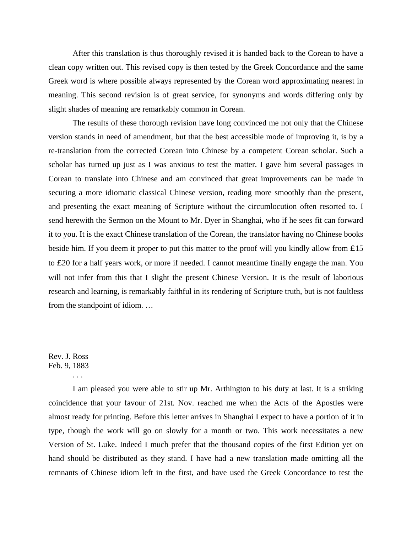After this translation is thus thoroughly revised it is handed back to the Corean to have a clean copy written out. This revised copy is then tested by the Greek Concordance and the same Greek word is where possible always represented by the Corean word approximating nearest in meaning. This second revision is of great service, for synonyms and words differing only by slight shades of meaning are remarkably common in Corean.

 The results of these thorough revision have long convinced me not only that the Chinese version stands in need of amendment, but that the best accessible mode of improving it, is by a re-translation from the corrected Corean into Chinese by a competent Corean scholar. Such a scholar has turned up just as I was anxious to test the matter. I gave him several passages in Corean to translate into Chinese and am convinced that great improvements can be made in securing a more idiomatic classical Chinese version, reading more smoothly than the present, and presenting the exact meaning of Scripture without the circumlocution often resorted to. I send herewith the Sermon on the Mount to Mr. Dyer in Shanghai, who if he sees fit can forward it to you. It is the exact Chinese translation of the Corean, the translator having no Chinese books beside him. If you deem it proper to put this matter to the proof will you kindly allow from £15 to £20 for a half years work, or more if needed. I cannot meantime finally engage the man. You will not infer from this that I slight the present Chinese Version. It is the result of laborious research and learning, is remarkably faithful in its rendering of Scripture truth, but is not faultless from the standpoint of idiom. …

#### Rev. J. Ross Feb. 9, 1883

. . .

 I am pleased you were able to stir up Mr. Arthington to his duty at last. It is a striking coincidence that your favour of 21st. Nov. reached me when the Acts of the Apostles were almost ready for printing. Before this letter arrives in Shanghai I expect to have a portion of it in type, though the work will go on slowly for a month or two. This work necessitates a new Version of St. Luke. Indeed I much prefer that the thousand copies of the first Edition yet on hand should be distributed as they stand. I have had a new translation made omitting all the remnants of Chinese idiom left in the first, and have used the Greek Concordance to test the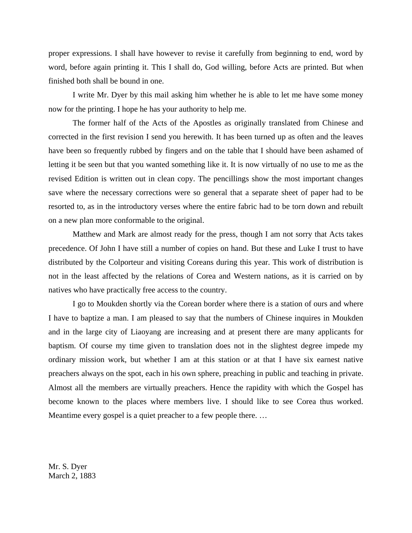proper expressions. I shall have however to revise it carefully from beginning to end, word by word, before again printing it. This I shall do, God willing, before Acts are printed. But when finished both shall be bound in one.

 I write Mr. Dyer by this mail asking him whether he is able to let me have some money now for the printing. I hope he has your authority to help me.

 The former half of the Acts of the Apostles as originally translated from Chinese and corrected in the first revision I send you herewith. It has been turned up as often and the leaves have been so frequently rubbed by fingers and on the table that I should have been ashamed of letting it be seen but that you wanted something like it. It is now virtually of no use to me as the revised Edition is written out in clean copy. The pencillings show the most important changes save where the necessary corrections were so general that a separate sheet of paper had to be resorted to, as in the introductory verses where the entire fabric had to be torn down and rebuilt on a new plan more conformable to the original.

 Matthew and Mark are almost ready for the press, though I am not sorry that Acts takes precedence. Of John I have still a number of copies on hand. But these and Luke I trust to have distributed by the Colporteur and visiting Coreans during this year. This work of distribution is not in the least affected by the relations of Corea and Western nations, as it is carried on by natives who have practically free access to the country.

 I go to Moukden shortly via the Corean border where there is a station of ours and where I have to baptize a man. I am pleased to say that the numbers of Chinese inquires in Moukden and in the large city of Liaoyang are increasing and at present there are many applicants for baptism. Of course my time given to translation does not in the slightest degree impede my ordinary mission work, but whether I am at this station or at that I have six earnest native preachers always on the spot, each in his own sphere, preaching in public and teaching in private. Almost all the members are virtually preachers. Hence the rapidity with which the Gospel has become known to the places where members live. I should like to see Corea thus worked. Meantime every gospel is a quiet preacher to a few people there. …

Mr. S. Dyer March 2, 1883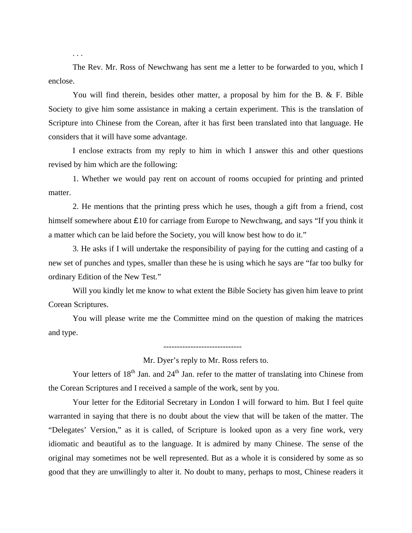The Rev. Mr. Ross of Newchwang has sent me a letter to be forwarded to you, which I enclose.

. . .

 You will find therein, besides other matter, a proposal by him for the B. & F. Bible Society to give him some assistance in making a certain experiment. This is the translation of Scripture into Chinese from the Corean, after it has first been translated into that language. He considers that it will have some advantage.

 I enclose extracts from my reply to him in which I answer this and other questions revised by him which are the following:

 1. Whether we would pay rent on account of rooms occupied for printing and printed matter.

 2. He mentions that the printing press which he uses, though a gift from a friend, cost himself somewhere about £10 for carriage from Europe to Newchwang, and says "If you think it a matter which can be laid before the Society, you will know best how to do it."

 3. He asks if I will undertake the responsibility of paying for the cutting and casting of a new set of punches and types, smaller than these he is using which he says are "far too bulky for ordinary Edition of the New Test."

 Will you kindly let me know to what extent the Bible Society has given him leave to print Corean Scriptures.

 You will please write me the Committee mind on the question of making the matrices and type.

Mr. Dyer's reply to Mr. Ross refers to.

-----------------------------

Your letters of  $18<sup>th</sup>$  Jan. and  $24<sup>th</sup>$  Jan. refer to the matter of translating into Chinese from the Corean Scriptures and I received a sample of the work, sent by you.

 Your letter for the Editorial Secretary in London I will forward to him. But I feel quite warranted in saying that there is no doubt about the view that will be taken of the matter. The "Delegates' Version," as it is called, of Scripture is looked upon as a very fine work, very idiomatic and beautiful as to the language. It is admired by many Chinese. The sense of the original may sometimes not be well represented. But as a whole it is considered by some as so good that they are unwillingly to alter it. No doubt to many, perhaps to most, Chinese readers it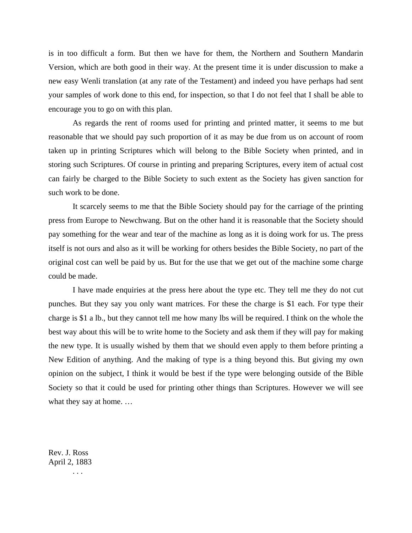is in too difficult a form. But then we have for them, the Northern and Southern Mandarin Version, which are both good in their way. At the present time it is under discussion to make a new easy Wenli translation (at any rate of the Testament) and indeed you have perhaps had sent your samples of work done to this end, for inspection, so that I do not feel that I shall be able to encourage you to go on with this plan.

 As regards the rent of rooms used for printing and printed matter, it seems to me but reasonable that we should pay such proportion of it as may be due from us on account of room taken up in printing Scriptures which will belong to the Bible Society when printed, and in storing such Scriptures. Of course in printing and preparing Scriptures, every item of actual cost can fairly be charged to the Bible Society to such extent as the Society has given sanction for such work to be done.

 It scarcely seems to me that the Bible Society should pay for the carriage of the printing press from Europe to Newchwang. But on the other hand it is reasonable that the Society should pay something for the wear and tear of the machine as long as it is doing work for us. The press itself is not ours and also as it will be working for others besides the Bible Society, no part of the original cost can well be paid by us. But for the use that we get out of the machine some charge could be made.

 I have made enquiries at the press here about the type etc. They tell me they do not cut punches. But they say you only want matrices. For these the charge is \$1 each. For type their charge is \$1 a lb., but they cannot tell me how many lbs will be required. I think on the whole the best way about this will be to write home to the Society and ask them if they will pay for making the new type. It is usually wished by them that we should even apply to them before printing a New Edition of anything. And the making of type is a thing beyond this. But giving my own opinion on the subject, I think it would be best if the type were belonging outside of the Bible Society so that it could be used for printing other things than Scriptures. However we will see what they say at home. …

Rev. J. Ross April 2, 1883

. . .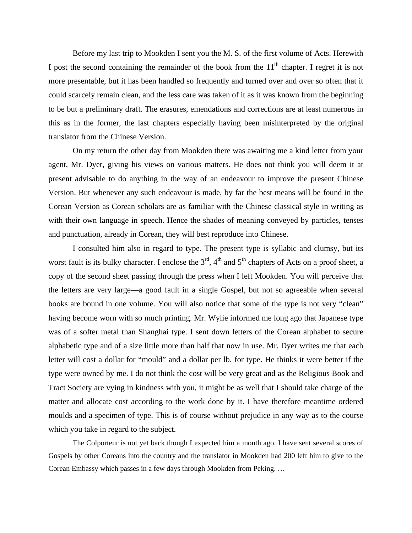Before my last trip to Mookden I sent you the M. S. of the first volume of Acts. Herewith I post the second containing the remainder of the book from the  $11<sup>th</sup>$  chapter. I regret it is not more presentable, but it has been handled so frequently and turned over and over so often that it could scarcely remain clean, and the less care was taken of it as it was known from the beginning to be but a preliminary draft. The erasures, emendations and corrections are at least numerous in this as in the former, the last chapters especially having been misinterpreted by the original translator from the Chinese Version.

 On my return the other day from Mookden there was awaiting me a kind letter from your agent, Mr. Dyer, giving his views on various matters. He does not think you will deem it at present advisable to do anything in the way of an endeavour to improve the present Chinese Version. But whenever any such endeavour is made, by far the best means will be found in the Corean Version as Corean scholars are as familiar with the Chinese classical style in writing as with their own language in speech. Hence the shades of meaning conveyed by particles, tenses and punctuation, already in Corean, they will best reproduce into Chinese.

 I consulted him also in regard to type. The present type is syllabic and clumsy, but its worst fault is its bulky character. I enclose the  $3<sup>rd</sup>$ ,  $4<sup>th</sup>$  and  $5<sup>th</sup>$  chapters of Acts on a proof sheet, a copy of the second sheet passing through the press when I left Mookden. You will perceive that the letters are very large—a good fault in a single Gospel, but not so agreeable when several books are bound in one volume. You will also notice that some of the type is not very "clean" having become worn with so much printing. Mr. Wylie informed me long ago that Japanese type was of a softer metal than Shanghai type. I sent down letters of the Corean alphabet to secure alphabetic type and of a size little more than half that now in use. Mr. Dyer writes me that each letter will cost a dollar for "mould" and a dollar per lb. for type. He thinks it were better if the type were owned by me. I do not think the cost will be very great and as the Religious Book and Tract Society are vying in kindness with you, it might be as well that I should take charge of the matter and allocate cost according to the work done by it. I have therefore meantime ordered moulds and a specimen of type. This is of course without prejudice in any way as to the course which you take in regard to the subject.

 The Colporteur is not yet back though I expected him a month ago. I have sent several scores of Gospels by other Coreans into the country and the translator in Mookden had 200 left him to give to the Corean Embassy which passes in a few days through Mookden from Peking. …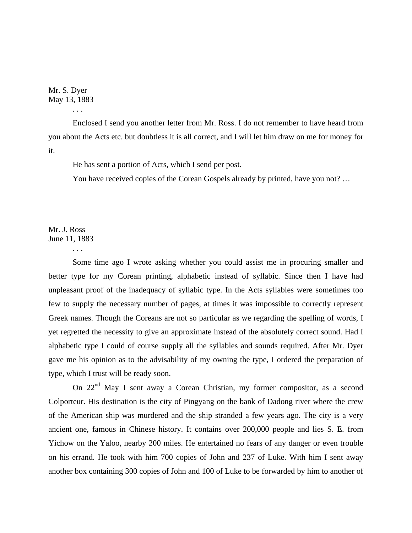Mr. S. Dyer May 13, 1883

. . .

 Enclosed I send you another letter from Mr. Ross. I do not remember to have heard from you about the Acts etc. but doubtless it is all correct, and I will let him draw on me for money for it.

He has sent a portion of Acts, which I send per post.

You have received copies of the Corean Gospels already by printed, have you not? …

Mr. J. Ross June 11, 1883

. . .

 Some time ago I wrote asking whether you could assist me in procuring smaller and better type for my Corean printing, alphabetic instead of syllabic. Since then I have had unpleasant proof of the inadequacy of syllabic type. In the Acts syllables were sometimes too few to supply the necessary number of pages, at times it was impossible to correctly represent Greek names. Though the Coreans are not so particular as we regarding the spelling of words, I yet regretted the necessity to give an approximate instead of the absolutely correct sound. Had I alphabetic type I could of course supply all the syllables and sounds required. After Mr. Dyer gave me his opinion as to the advisability of my owning the type, I ordered the preparation of type, which I trust will be ready soon.

On 22<sup>nd</sup> May I sent away a Corean Christian, my former compositor, as a second Colporteur. His destination is the city of Pingyang on the bank of Dadong river where the crew of the American ship was murdered and the ship stranded a few years ago. The city is a very ancient one, famous in Chinese history. It contains over 200,000 people and lies S. E. from Yichow on the Yaloo, nearby 200 miles. He entertained no fears of any danger or even trouble on his errand. He took with him 700 copies of John and 237 of Luke. With him I sent away another box containing 300 copies of John and 100 of Luke to be forwarded by him to another of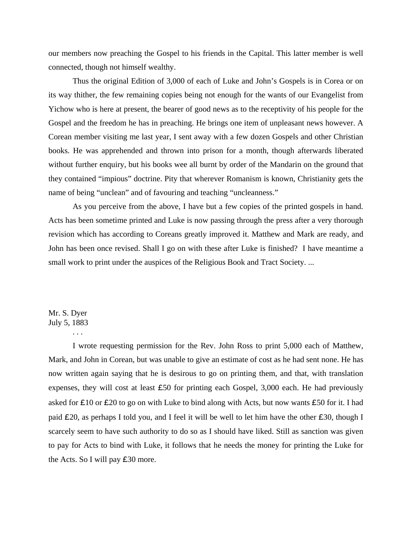our members now preaching the Gospel to his friends in the Capital. This latter member is well connected, though not himself wealthy.

 Thus the original Edition of 3,000 of each of Luke and John's Gospels is in Corea or on its way thither, the few remaining copies being not enough for the wants of our Evangelist from Yichow who is here at present, the bearer of good news as to the receptivity of his people for the Gospel and the freedom he has in preaching. He brings one item of unpleasant news however. A Corean member visiting me last year, I sent away with a few dozen Gospels and other Christian books. He was apprehended and thrown into prison for a month, though afterwards liberated without further enquiry, but his books wee all burnt by order of the Mandarin on the ground that they contained "impious" doctrine. Pity that wherever Romanism is known, Christianity gets the name of being "unclean" and of favouring and teaching "uncleanness."

 As you perceive from the above, I have but a few copies of the printed gospels in hand. Acts has been sometime printed and Luke is now passing through the press after a very thorough revision which has according to Coreans greatly improved it. Matthew and Mark are ready, and John has been once revised. Shall I go on with these after Luke is finished? I have meantime a small work to print under the auspices of the Religious Book and Tract Society. ...

#### Mr. S. Dyer July 5, 1883

. . .

 I wrote requesting permission for the Rev. John Ross to print 5,000 each of Matthew, Mark, and John in Corean, but was unable to give an estimate of cost as he had sent none. He has now written again saying that he is desirous to go on printing them, and that, with translation expenses, they will cost at least £50 for printing each Gospel, 3,000 each. He had previously asked for  $\text{\pounds}10$  or  $\text{\pounds}20$  to go on with Luke to bind along with Acts, but now wants  $\text{\pounds}50$  for it. I had paid £20, as perhaps I told you, and I feel it will be well to let him have the other £30, though I scarcely seem to have such authority to do so as I should have liked. Still as sanction was given to pay for Acts to bind with Luke, it follows that he needs the money for printing the Luke for the Acts. So I will pay £30 more.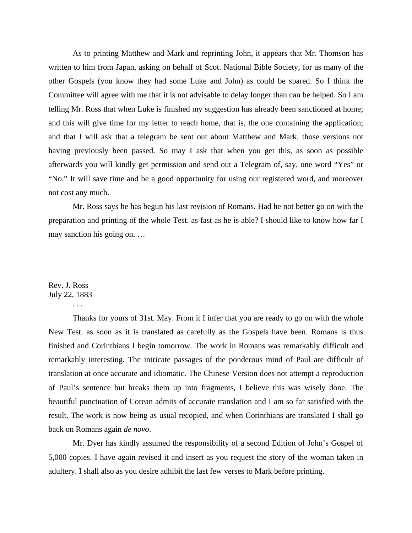As to printing Matthew and Mark and reprinting John, it appears that Mr. Thomson has written to him from Japan, asking on behalf of Scot. National Bible Society, for as many of the other Gospels (you know they had some Luke and John) as could be spared. So I think the Committee will agree with me that it is not advisable to delay longer than can be helped. So I am telling Mr. Ross that when Luke is finished my suggestion has already been sanctioned at home; and this will give time for my letter to reach home, that is, the one containing the application; and that I will ask that a telegram be sent out about Matthew and Mark, those versions not having previously been passed. So may I ask that when you get this, as soon as possible afterwards you will kindly get permission and send out a Telegram of, say, one word "Yes" or "No." It will save time and be a good opportunity for using our registered word, and moreover not cost any much.

 Mr. Ross says he has begun his last revision of Romans. Had he not better go on with the preparation and printing of the whole Test. as fast as he is able? I should like to know how far I may sanction his going on. …

# Rev. J. Ross July 22, 1883

. . .

 Thanks for yours of 31st. May. From it I infer that you are ready to go on with the whole New Test. as soon as it is translated as carefully as the Gospels have been. Romans is thus finished and Corinthians I begin tomorrow. The work in Romans was remarkably difficult and remarkably interesting. The intricate passages of the ponderous mind of Paul are difficult of translation at once accurate and idiomatic. The Chinese Version does not attempt a reproduction of Paul's sentence but breaks them up into fragments, I believe this was wisely done. The beautiful punctuation of Corean admits of accurate translation and I am so far satisfied with the result. The work is now being as usual recopied, and when Corinthians are translated I shall go back on Romans again *de novo*.

 Mr. Dyer has kindly assumed the responsibility of a second Edition of John's Gospel of 5,000 copies. I have again revised it and insert as you request the story of the woman taken in adultery. I shall also as you desire adhibit the last few verses to Mark before printing.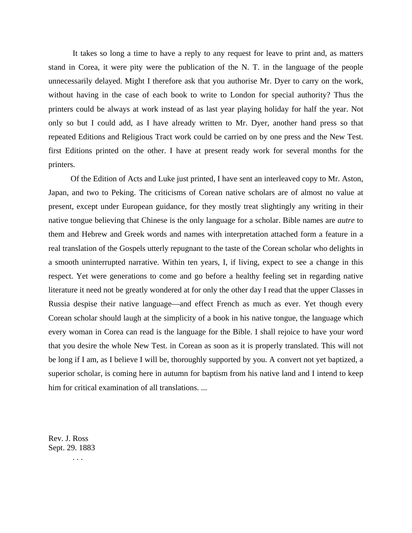It takes so long a time to have a reply to any request for leave to print and, as matters stand in Corea, it were pity were the publication of the N. T. in the language of the people unnecessarily delayed. Might I therefore ask that you authorise Mr. Dyer to carry on the work, without having in the case of each book to write to London for special authority? Thus the printers could be always at work instead of as last year playing holiday for half the year. Not only so but I could add, as I have already written to Mr. Dyer, another hand press so that repeated Editions and Religious Tract work could be carried on by one press and the New Test. first Editions printed on the other. I have at present ready work for several months for the printers.

 Of the Edition of Acts and Luke just printed, I have sent an interleaved copy to Mr. Aston, Japan, and two to Peking. The criticisms of Corean native scholars are of almost no value at present, except under European guidance, for they mostly treat slightingly any writing in their native tongue believing that Chinese is the only language for a scholar. Bible names are *autre* to them and Hebrew and Greek words and names with interpretation attached form a feature in a real translation of the Gospels utterly repugnant to the taste of the Corean scholar who delights in a smooth uninterrupted narrative. Within ten years, I, if living, expect to see a change in this respect. Yet were generations to come and go before a healthy feeling set in regarding native literature it need not be greatly wondered at for only the other day I read that the upper Classes in Russia despise their native language—and effect French as much as ever. Yet though every Corean scholar should laugh at the simplicity of a book in his native tongue, the language which every woman in Corea can read is the language for the Bible. I shall rejoice to have your word that you desire the whole New Test. in Corean as soon as it is properly translated. This will not be long if I am, as I believe I will be, thoroughly supported by you. A convert not yet baptized, a superior scholar, is coming here in autumn for baptism from his native land and I intend to keep him for critical examination of all translations. ...

Rev. J. Ross Sept. 29. 1883 . . .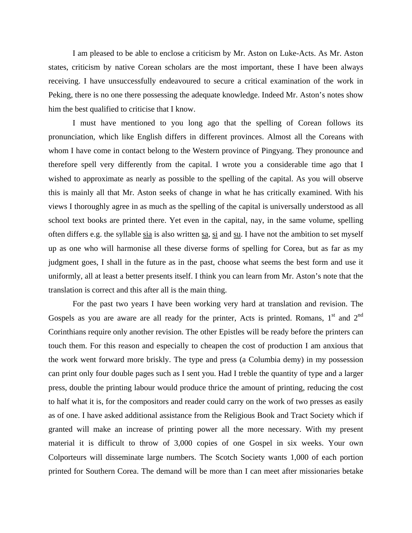I am pleased to be able to enclose a criticism by Mr. Aston on Luke-Acts. As Mr. Aston states, criticism by native Corean scholars are the most important, these I have been always receiving. I have unsuccessfully endeavoured to secure a critical examination of the work in Peking, there is no one there possessing the adequate knowledge. Indeed Mr. Aston's notes show him the best qualified to criticise that I know.

 I must have mentioned to you long ago that the spelling of Corean follows its pronunciation, which like English differs in different provinces. Almost all the Coreans with whom I have come in contact belong to the Western province of Pingyang. They pronounce and therefore spell very differently from the capital. I wrote you a considerable time ago that I wished to approximate as nearly as possible to the spelling of the capital. As you will observe this is mainly all that Mr. Aston seeks of change in what he has critically examined. With his views I thoroughly agree in as much as the spelling of the capital is universally understood as all school text books are printed there. Yet even in the capital, nay, in the same volume, spelling often differs e.g. the syllable sia is also written sa, si and su. I have not the ambition to set myself up as one who will harmonise all these diverse forms of spelling for Corea, but as far as my judgment goes, I shall in the future as in the past, choose what seems the best form and use it uniformly, all at least a better presents itself. I think you can learn from Mr. Aston's note that the translation is correct and this after all is the main thing.

 For the past two years I have been working very hard at translation and revision. The Gospels as you are aware are all ready for the printer, Acts is printed. Romans,  $1<sup>st</sup>$  and  $2<sup>nd</sup>$ Corinthians require only another revision. The other Epistles will be ready before the printers can touch them. For this reason and especially to cheapen the cost of production I am anxious that the work went forward more briskly. The type and press (a Columbia demy) in my possession can print only four double pages such as I sent you. Had I treble the quantity of type and a larger press, double the printing labour would produce thrice the amount of printing, reducing the cost to half what it is, for the compositors and reader could carry on the work of two presses as easily as of one. I have asked additional assistance from the Religious Book and Tract Society which if granted will make an increase of printing power all the more necessary. With my present material it is difficult to throw of 3,000 copies of one Gospel in six weeks. Your own Colporteurs will disseminate large numbers. The Scotch Society wants 1,000 of each portion printed for Southern Corea. The demand will be more than I can meet after missionaries betake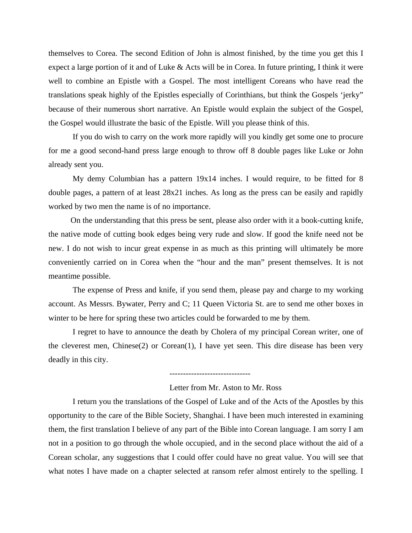themselves to Corea. The second Edition of John is almost finished, by the time you get this I expect a large portion of it and of Luke & Acts will be in Corea. In future printing, I think it were well to combine an Epistle with a Gospel. The most intelligent Coreans who have read the translations speak highly of the Epistles especially of Corinthians, but think the Gospels 'jerky" because of their numerous short narrative. An Epistle would explain the subject of the Gospel, the Gospel would illustrate the basic of the Epistle. Will you please think of this.

 If you do wish to carry on the work more rapidly will you kindly get some one to procure for me a good second-hand press large enough to throw off 8 double pages like Luke or John already sent you.

 My demy Columbian has a pattern 19x14 inches. I would require, to be fitted for 8 double pages, a pattern of at least 28x21 inches. As long as the press can be easily and rapidly worked by two men the name is of no importance.

 On the understanding that this press be sent, please also order with it a book-cutting knife, the native mode of cutting book edges being very rude and slow. If good the knife need not be new. I do not wish to incur great expense in as much as this printing will ultimately be more conveniently carried on in Corea when the "hour and the man" present themselves. It is not meantime possible.

 The expense of Press and knife, if you send them, please pay and charge to my working account. As Messrs. Bywater, Perry and C; 11 Queen Victoria St. are to send me other boxes in winter to be here for spring these two articles could be forwarded to me by them.

 I regret to have to announce the death by Cholera of my principal Corean writer, one of the cleverest men, Chinese(2) or Corean(1), I have yet seen. This dire disease has been very deadly in this city.

------------------------------

Letter from Mr. Aston to Mr. Ross

 I return you the translations of the Gospel of Luke and of the Acts of the Apostles by this opportunity to the care of the Bible Society, Shanghai. I have been much interested in examining them, the first translation I believe of any part of the Bible into Corean language. I am sorry I am not in a position to go through the whole occupied, and in the second place without the aid of a Corean scholar, any suggestions that I could offer could have no great value. You will see that what notes I have made on a chapter selected at ransom refer almost entirely to the spelling. I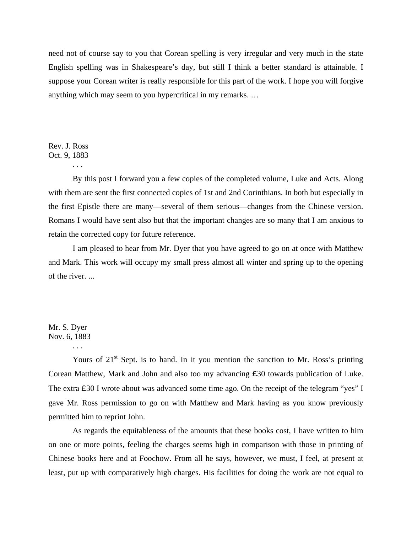need not of course say to you that Corean spelling is very irregular and very much in the state English spelling was in Shakespeare's day, but still I think a better standard is attainable. I suppose your Corean writer is really responsible for this part of the work. I hope you will forgive anything which may seem to you hypercritical in my remarks. …

Rev. J. Ross Oct. 9, 1883

. . .

 By this post I forward you a few copies of the completed volume, Luke and Acts. Along with them are sent the first connected copies of 1st and 2nd Corinthians. In both but especially in the first Epistle there are many—several of them serious—changes from the Chinese version. Romans I would have sent also but that the important changes are so many that I am anxious to retain the corrected copy for future reference.

 I am pleased to hear from Mr. Dyer that you have agreed to go on at once with Matthew and Mark. This work will occupy my small press almost all winter and spring up to the opening of the river. ...

#### Mr. S. Dyer Nov. 6, 1883

. . .

Yours of  $21<sup>st</sup>$  Sept. is to hand. In it you mention the sanction to Mr. Ross's printing Corean Matthew, Mark and John and also too my advancing £30 towards publication of Luke. The extra £30 I wrote about was advanced some time ago. On the receipt of the telegram "yes" I gave Mr. Ross permission to go on with Matthew and Mark having as you know previously permitted him to reprint John.

 As regards the equitableness of the amounts that these books cost, I have written to him on one or more points, feeling the charges seems high in comparison with those in printing of Chinese books here and at Foochow. From all he says, however, we must, I feel, at present at least, put up with comparatively high charges. His facilities for doing the work are not equal to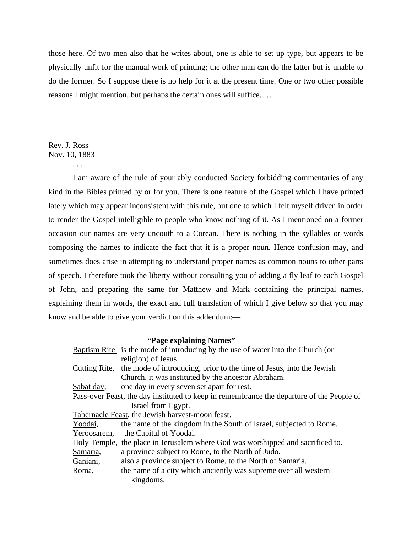those here. Of two men also that he writes about, one is able to set up type, but appears to be physically unfit for the manual work of printing; the other man can do the latter but is unable to do the former. So I suppose there is no help for it at the present time. One or two other possible reasons I might mention, but perhaps the certain ones will suffice. …

Rev. J. Ross Nov. 10, 1883

. . .

 I am aware of the rule of your ably conducted Society forbidding commentaries of any kind in the Bibles printed by or for you. There is one feature of the Gospel which I have printed lately which may appear inconsistent with this rule, but one to which I felt myself driven in order to render the Gospel intelligible to people who know nothing of it. As I mentioned on a former occasion our names are very uncouth to a Corean. There is nothing in the syllables or words composing the names to indicate the fact that it is a proper noun. Hence confusion may, and sometimes does arise in attempting to understand proper names as common nouns to other parts of speech. I therefore took the liberty without consulting you of adding a fly leaf to each Gospel of John, and preparing the same for Matthew and Mark containing the principal names, explaining them in words, the exact and full translation of which I give below so that you may know and be able to give your verdict on this addendum:—

#### **"Page explaining Names"**

|             | <b>Baptism Rite</b> is the mode of introducing by the use of water into the Church (or    |
|-------------|-------------------------------------------------------------------------------------------|
|             | religion) of Jesus                                                                        |
|             | Cutting Rite, the mode of introducing, prior to the time of Jesus, into the Jewish        |
|             | Church, it was instituted by the ancestor Abraham.                                        |
| Sabat day,  | one day in every seven set apart for rest.                                                |
|             | Pass-over Feast, the day instituted to keep in remembrance the departure of the People of |
|             | Israel from Egypt.                                                                        |
|             | Tabernacle Feast, the Jewish harvest-moon feast.                                          |
| Yoodai,     | the name of the kingdom in the South of Israel, subjected to Rome.                        |
| Yeroosarem, | the Capital of Yoodai.                                                                    |
|             | Holy Temple, the place in Jerusalem where God was worshipped and sacrificed to.           |
| Samaria,    | a province subject to Rome, to the North of Judo.                                         |
| Ganiani,    | also a province subject to Rome, to the North of Samaria.                                 |
| Roma,       | the name of a city which anciently was supreme over all western                           |
|             | kingdoms.                                                                                 |